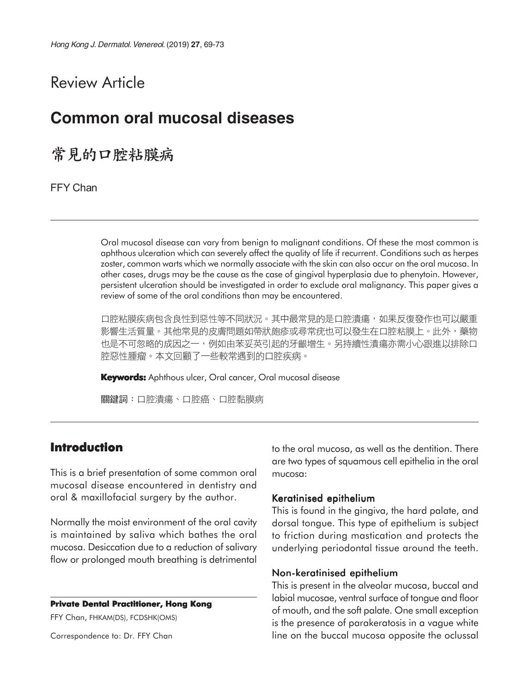# Review Article

# **Common oral mucosal diseases**

常見的口腔粘膜病

FFY Chan

Oral mucosal disease can vary from benign to malignant conditions. Of these the most common is aphthous ulceration which can severely affect the quality of life if recurrent. Conditions such as herpes zoster, common warts which we normally associate with the skin can also occur on the oral mucosa. In other cases, drugs may be the cause as the case of gingival hyperplasia due to phenytoin. However, persistent ulceration should be investigated in order to exclude oral malignancy. This paper gives a review of some of the oral conditions than may be encountered.

口腔粘膜疾病包含良性到惡性等不同狀況。其中最常見的是口腔潰瘍,如果反復發作也可以嚴重 影響生活質量。其他常見的皮膚問題如帶狀皰疹或尋常疣也可以發生在口腔粘膜上。此外,藥物 也是不可忽略的成因之一,例如由苯妥英引起的牙齦增生。另持續性潰瘍亦需小心跟進以排除口 腔惡性腫瘤。本文回顧了一些較常遇到的口腔疾病。

**Keywords:** Aphthous ulcer, Oral cancer, Oral mucosal disease

關鍵詞:口腔潰瘍、口腔癌、口腔黏膜病

## **Introduction**

This is a brief presentation of some common oral mucosal disease encountered in dentistry and oral & maxillofacial surgery by the author.

Normally the moist environment of the oral cavity is maintained by saliva which bathes the oral mucosa. Desiccation due to a reduction of salivary flow or prolonged mouth breathing is detrimental

#### **Private Dental Practitioner, Hong Kong**

FFY Chan, FHKAM(DS), FCDSHK(OMS)

Correspondence to: Dr. FFY Chan

to the oral mucosa, as well as the dentition. There are two types of squamous cell epithelia in the oral mucosa:

#### Keratinised epithelium

This is found in the gingiva, the hard palate, and dorsal tongue. This type of epithelium is subject to friction during mastication and protects the underlying periodontal tissue around the teeth.

#### Non-keratinised epithelium

This is present in the alveolar mucosa, buccal and labial mucosae, ventral surface of tongue and floor of mouth, and the soft palate. One small exception is the presence of parakeratosis in a vague white line on the buccal mucosa opposite the oclussal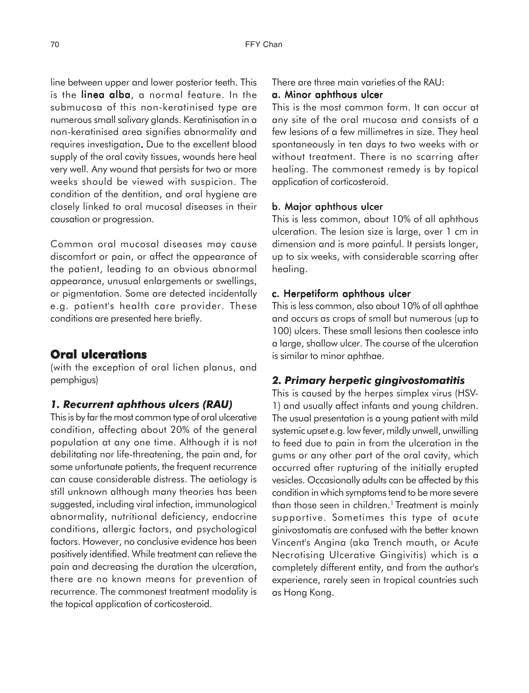line between upper and lower posterior teeth. This is the linea alba, a normal feature. In the submucosa of this non-keratinised type are numerous small salivary glands. Keratinisation in a non-keratinised area signifies abnormality and requires investigation. Due to the excellent blood . supply of the oral cavity tissues, wounds here heal very well. Any wound that persists for two or more weeks should be viewed with suspicion. The condition of the dentition, and oral hygiene are closely linked to oral mucosal diseases in their causation or progression.

Common oral mucosal diseases may cause discomfort or pain, or affect the appearance of the patient, leading to an obvious abnormal appearance, unusual enlargements or swellings, or pigmentation. Some are detected incidentally e.g. patient's health care provider. These conditions are presented here briefly.

## **Oral ulcerations**

(with the exception of oral lichen planus, and pemphigus)

#### *1. Recurrent aphthous ulcers (RAU)*

This is by far the most common type of oral ulcerative condition, affecting about 20% of the general population at any one time. Although it is not debilitating nor life-threatening, the pain and, for some unfortunate patients, the frequent recurrence can cause considerable distress. The aetiology is still unknown although many theories has been suggested, including viral infection, immunological abnormality, nutritional deficiency, endocrine conditions, allergic factors, and psychological factors. However, no conclusive evidence has been positively identified. While treatment can relieve the pain and decreasing the duration the ulceration, there are no known means for prevention of recurrence. The commonest treatment modality is the topical application of corticosteroid.

There are three main varieties of the RAU:

#### a. Minor aphthous ulcer

This is the most common form. It can occur at any site of the oral mucosa and consists of a few lesions of a few millimetres in size. They heal spontaneously in ten days to two weeks with or without treatment. There is no scarring after healing. The commonest remedy is by topical application of corticosteroid.

#### b. Major aphthous ulcer

This is less common, about 10% of all aphthous ulceration. The lesion size is large, over 1 cm in dimension and is more painful. It persists longer, up to six weeks, with considerable scarring after healing.

#### c. Herpetiform aphthous ulcer

This is less common, also about 10% of all aphthae and occurs as crops of small but numerous (up to 100) ulcers. These small lesions then coalesce into a large, shallow ulcer. The course of the ulceration is similar to minor aphthae.

#### *2. Primary herpetic gingivostomatitis*

This is caused by the herpes simplex virus (HSV-1) and usually affect infants and young children. The usual presentation is a young patient with mild systemic upset e.g. low fever, mildly unwell, unwilling to feed due to pain in from the ulceration in the gums or any other part of the oral cavity, which occurred after rupturing of the initially erupted vesicles. Occasionally adults can be affected by this condition in which symptoms tend to be more severe than those seen in children.<sup>1</sup> Treatment is mainly supportive. Sometimes this type of acute ginivostomatis are confused with the better known Vincent's Angina (aka Trench mouth, or Acute Necrotising Ulcerative Gingivitis) which is a completely different entity, and from the author's experience, rarely seen in tropical countries such as Hong Kong.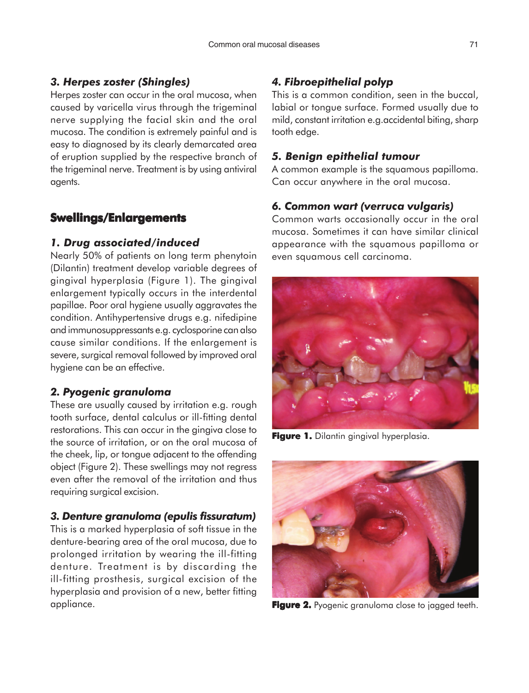### *3. Herpes zoster (Shingles)*

Herpes zoster can occur in the oral mucosa, when caused by varicella virus through the trigeminal nerve supplying the facial skin and the oral mucosa. The condition is extremely painful and is easy to diagnosed by its clearly demarcated area of eruption supplied by the respective branch of the trigeminal nerve. Treatment is by using antiviral agents.

### **Swellings/Enlargements**

#### *1. Drug associated/induced*

Nearly 50% of patients on long term phenytoin (Dilantin) treatment develop variable degrees of gingival hyperplasia (Figure 1). The gingival enlargement typically occurs in the interdental papillae. Poor oral hygiene usually aggravates the condition. Antihypertensive drugs e.g. nifedipine and immunosuppressants e.g. cyclosporine can also cause similar conditions. If the enlargement is severe, surgical removal followed by improved oral hygiene can be an effective.

#### *2. Pyogenic granuloma*

These are usually caused by irritation e.g. rough tooth surface, dental calculus or ill-fitting dental restorations. This can occur in the gingiva close to the source of irritation, or on the oral mucosa of the cheek, lip, or tongue adjacent to the offending object (Figure 2). These swellings may not regress even after the removal of the irritation and thus requiring surgical excision.

#### *3. Denture granuloma (epulis fissuratum)*

This is a marked hyperplasia of soft tissue in the denture-bearing area of the oral mucosa, due to prolonged irritation by wearing the ill-fitting denture. Treatment is by discarding the ill-fitting prosthesis, surgical excision of the hyperplasia and provision of a new, better fitting appliance.

## *4. Fibroepithelial polyp*

This is a common condition, seen in the buccal, labial or tongue surface. Formed usually due to mild, constant irritation e.g.accidental biting, sharp tooth edge.

#### *5. Benign epithelial tumour*

A common example is the squamous papilloma. Can occur anywhere in the oral mucosa.

#### *6. Common wart (verruca vulgaris)*

Common warts occasionally occur in the oral mucosa. Sometimes it can have similar clinical appearance with the squamous papilloma or even squamous cell carcinoma.



**Figure 1.** Dilantin gingival hyperplasia.



**Figure 2. 2.** Pyogenic granuloma close to jagged teeth.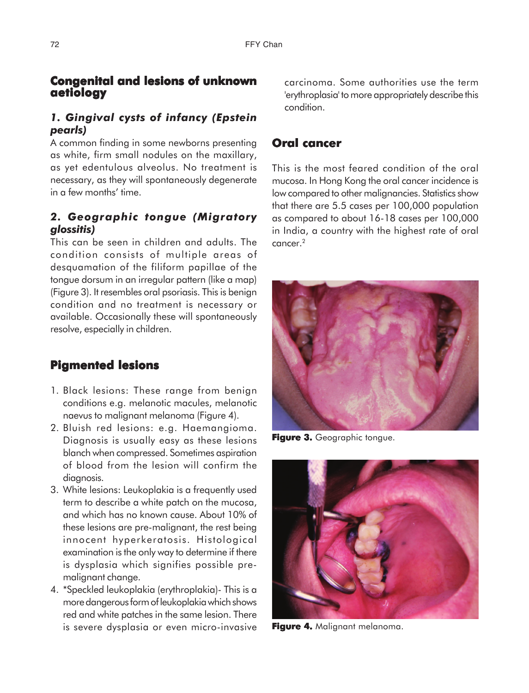## **Congenital and lesions of unknown aetiology**

## *1. Gingival cysts of infancy (Epstein pearls)*

A common finding in some newborns presenting as white, firm small nodules on the maxillary, as yet edentulous alveolus. No treatment is necessary, as they will spontaneously degenerate in a few months' time.

## *2. Geographic tongue (Migratory glossitis)*

This can be seen in children and adults. The condition consists of multiple areas of desquamation of the filiform papillae of the tongue dorsum in an irregular pattern (like a map) (Figure 3). It resembles oral psoriasis. This is benign condition and no treatment is necessary or available. Occasionally these will spontaneously resolve, especially in children.

## **Pigmented lesions**

- 1. Black lesions: These range from benign conditions e.g. melanotic macules, melanotic naevus to malignant melanoma (Figure 4).
- 2. Bluish red lesions: e.g. Haemangioma. Diagnosis is usually easy as these lesions blanch when compressed. Sometimes aspiration of blood from the lesion will confirm the diagnosis.
- 3. White lesions: Leukoplakia is a frequently used term to describe a white patch on the mucosa, and which has no known cause. About 10% of these lesions are pre-malignant, the rest being innocent hyperkeratosis. Histological examination is the only way to determine if there is dysplasia which signifies possible premalignant change.
- 4. \*Speckled leukoplakia (erythroplakia)- This is a more dangerous form of leukoplakia which shows red and white patches in the same lesion. There is severe dysplasia or even micro-invasive

carcinoma. Some authorities use the term 'erythroplasia' to more appropriately describe this condition.

## **Oral cancer**

This is the most feared condition of the oral mucosa. In Hong Kong the oral cancer incidence is low compared to other malignancies. Statistics show that there are 5.5 cases per 100,000 population as compared to about 16-18 cases per 100,000 in India, a country with the highest rate of oral cancer.2



**Figure 3.** Geographic tongue.



**Figure 4.** Malignant melanoma.